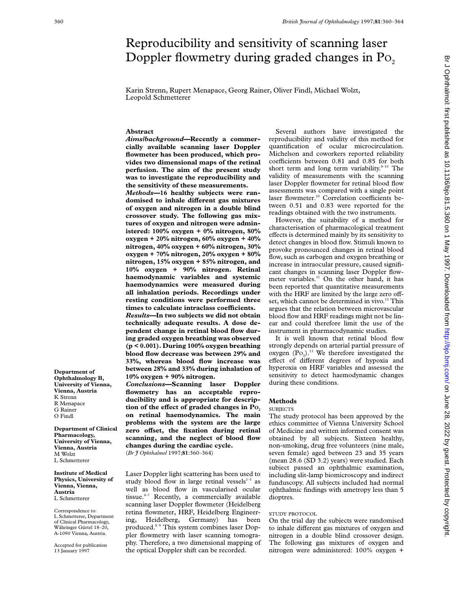# Reproducibility and sensitivity of scanning laser Doppler flowmetry during graded changes in  $Po<sub>2</sub>$

Karin Strenn, Rupert Menapace, Georg Rainer, Oliver Findl, Michael Wolzt, Leopold Schmetterer

#### **Abstract**

*Aims/background***—Recently a commercially available scanning laser Doppler flowmeter has been produced, which provides two dimensional maps of the retinal perfusion. The aim of the present study was to investigate the reproducibility and the sensitivity of these measurements.**

*Methods***—16 healthy subjects were ran**domised to inhale different gas mixtures **of oxygen and nitrogen in a double blind crossover study. The following gas mixtures of oxygen and nitrogen were administered: 100% oxygen + 0% nitrogen, 80% oxygen + 20% nitrogen, 60% oxygen + 40% nitrogen, 40% oxygen + 60% nitrogen, 30% oxygen + 70% nitrogen, 20% oxygen + 80% nitrogen, 15% oxygen + 85% nitrogen, and 10% oxygen + 90% nitrogen. Retinal haemodynamic variables and systemic haemodynamics were measured during all inhalation periods. Recordings under resting conditions were performed three times to calculate intraclass coeYcients.** *Results***—In two subjects we did not obtain technically adequate results. A dose dependent change in retinal blood flow during graded oxygen breathing was observed (p < 0.001). During 100% oxygen breathing blood flow decrease was between 29% and 33%, whereas blood flow increase was between 28% and 33% during inhalation of 10% oxygen + 90% nitrogen.**

*Conclusions***—Scanning laser Doppler flowmetry has an acceptable reproducibility and is appropriate for description of the effect of graded changes in Po. on retinal haemodynamics. The main problems with the system are the large** zero offset, the fixation during retinal **scanning, and the neglect of blood flow changes during the cardiac cycle.**

(*Br J Ophthalmol* 1997;**81**:360–364)

Laser Doppler light scattering has been used to study blood flow in large retinal vessels $1-3$  as well as blood flow in vascularised ocular tissue.4–7 Recently, a commercially available scanning laser Doppler flowmeter (Heidelberg retina flowmeter, HRF, Heidelberg Engineering, Heidelberg, Germany) has been produced.8 9 This system combines laser Doppler flowmetry with laser scanning tomography. Therefore, a two dimensional mapping of the optical Doppler shift can be recorded.

Several authors have investigated the reproducibility and validity of this method for quantification of ocular microcirculation. Michelson and coworkers reported reliability coefficients between 0.81 and 0.85 for both short term and long term variability. $8-10$  The validity of measurements with the scanning laser Doppler flowmeter for retinal blood flow assessments was compared with a single point laser flowmeter.<sup>10</sup> Correlation coefficients between 0.51 and 0.83 were reported for the readings obtained with the two instruments.

However, the suitability of a method for characterisation of pharmacological treatment effects is determined mainly by its sensitivity to detect changes in blood flow. Stimuli known to provoke pronounced changes in retinal blood flow, such as carbogen and oxygen breathing or increase in intraocular pressure, caused significant changes in scanning laser Doppler flowmeter variables.<sup>11</sup> On the other hand, it has been reported that quantitative measurements with the HRF are limited by the large zero offset, which cannot be determined in vivo.<sup>12</sup> This argues that the relation between microvascular blood flow and HRF readings might not be linear and could therefore limit the use of the instrument in pharmacodynamic studies.

It is well known that retinal blood flow strongly depends on arterial partial pressure of oxygen  $(Po_2)$ .<sup>13</sup> We therefore investigated the effect of different degrees of hypoxia and hyperoxia on HRF variables and assessed the sensitivity to detect haemodynamic changes during these conditions.

#### **Methods**

#### **SUBJECTS**

The study protocol has been approved by the ethics committee of Vienna University School of Medicine and written informed consent was obtained by all subjects. Sixteen healthy, non-smoking, drug free volunteers (nine male, seven female) aged between 23 and 35 years (mean 28.6 (SD 3.2) years) were studied. Each subject passed an ophthalmic examination, including slit-lamp biomicroscopy and indirect funduscopy. All subjects included had normal ophthalmic findings with ametropy less than 5 dioptres.

## STUDY PROTOCOL

On the trial day the subjects were randomised to inhale different gas mixtures of oxygen and nitrogen in a double blind crossover design. The following gas mixtures of oxygen and nitrogen were administered: 100% oxygen +

**Ophthalmology B, University of Vienna, Vienna, Austria** K Strenn R Menapace G Rainer O Findl

**Department of**

**Department of Clinical Pharmacology, University of Vienna, Vienna, Austria** M Wolzt L Schmetterer

**Institute of Medical Physics, University of Vienna, Vienna, Austria** L Schmetterer

Correspondence to: L Schmetterer, Department of Clinical Pharmacology, Währinger Gürtel 18–20, A-1090 Vienna, Austria.

Accepted for publication 13 January 1997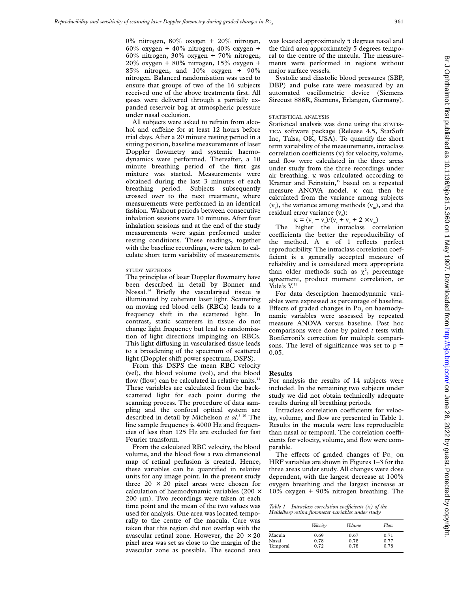0% nitrogen, 80% oxygen + 20% nitrogen,  $60\%$  oxygen +  $40\%$  nitrogen,  $40\%$  oxygen + 60% nitrogen, 30% oxygen + 70% nitrogen,  $20\%$  oxygen + 80% nitrogen, 15% oxygen + 85% nitrogen, and 10% oxygen + 90% nitrogen. Balanced randomisation was used to ensure that groups of two of the 16 subjects received one of the above treatments first. All gases were delivered through a partially expanded reservoir bag at atmospheric pressure under nasal occlusion.

All subjects were asked to refrain from alcohol and caffeine for at least 12 hours before trial days. After a 20 minute resting period in a sitting position, baseline measurements of laser Doppler flowmetry and systemic haemodynamics were performed. Thereafter, a 10 minute breathing period of the first gas mixture was started. Measurements were obtained during the last 3 minutes of each breathing period. Subjects subsequently crossed over to the next treatment, where measurements were performed in an identical fashion. Washout periods between consecutive inhalation sessions were 10 minutes. After four inhalation sessions and at the end of the study measurements were again performed under resting conditions. These readings, together with the baseline recordings, were taken to calculate short term variability of measurements.

## STUDY METHODS

The principles of laser Doppler flowmetry have been described in detail by Bonner and Nossal.14 Briefly the vascularised tissue is illuminated by coherent laser light. Scattering on moving red blood cells (RBCs) leads to a frequency shift in the scattered light. In contrast, static scatterers in tissue do not change light frequency but lead to randomisation of light directions impinging on RBCs. This light diffusing in vascularised tissue leads to a broadening of the spectrum of scattered light (Doppler shift power spectrum, DSPS).

From this DSPS the mean RBC velocity (vel), the blood volume (vol), and the blood flow (flow) can be calculated in relative units. $14$ These variables are calculated from the backscattered light for each point during the scanning process. The procedure of data sampling and the confocal optical system are described in detail by Michelson *et al*. 8 10 The line sample frequency is 4000 Hz and frequencies of less than 125 Hz are excluded for fast Fourier transform.

From the calculated RBC velocity, the blood volume, and the blood flow a two dimensional map of retinal perfusion is created. Hence, these variables can be quantified in relative units for any image point. In the present study three  $20 \times 20$  pixel areas were chosen for calculation of haemodynamic variables (200  $\times$ 200 µm). Two recordings were taken at each time point and the mean of the two values was used for analysis. One area was located temporally to the centre of the macula. Care was taken that this region did not overlap with the avascular retinal zone. However, the  $20 \times 20$ pixel area was set as close to the margin of the avascular zone as possible. The second area was located approximately 5 degrees nasal and the third area approximately 5 degrees temporal to the centre of the macula. The measurements were performed in regions without major surface vessels.

Systolic and diastolic blood pressures (SBP, DBP) and pulse rate were measured by an automated oscillometric device (Siemens Sirecust 888R, Siemens, Erlangen, Germany).

# STATISTICAL ANALYSIS

Statistical analysis was done using the STATIS-TICA software package (Release 4.5, StatSoft Inc, Tulsa, OK, USA). To quantify the short term variability of the measurements, intraclass correlation coefficients  $(\kappa)$  for velocity, volume, and flow were calculated in the three areas under study from the three recordings under air breathing.  $\kappa$  was calculated according to Kramer and Feinstein,<sup>15</sup> based on a repeated measure ANOVA model.  $\kappa$  can then be calculated from the variance among subjects  $(v<sub>s</sub>)$ , the variance among methods  $(v<sub>m</sub>)$ , and the residual error variance  $(v_0)$ :

 $\kappa = (v_s - v_e)/(v_s + v_e + 2 \times v_m)$ 

The higher the intraclass correlation coefficients the better the reproducibility of the method. A  $\kappa$  of 1 reflects perfect reproducibility. The intraclass correlation coefficient is a generally accepted measure of reliability and is considered more appropriate than older methods such as  $\chi^2$ , percentage agreement, product moment correlation, or Yule's  $Y<sup>15</sup>$ 

For data description haemodynamic variables were expressed as percentage of baseline. Effects of graded changes in  $Po_2$  on haemodynamic variables were assessed by repeated measure ANOVA versus baseline. Post hoc comparisons were done by paired *t* tests with Bonferroni's correction for multiple comparisons. The level of significance was set to  $p =$ 0.05.

## **Results**

For analysis the results of 14 subjects were included. In the remaining two subjects under study we did not obtain technically adequate results during all breathing periods.

Intraclass correlation coefficients for velocity, volume, and flow are presented in Table 1. Results in the macula were less reproducible than nasal or temporal. The correlation coefficients for velocity, volume, and flow were comparable.

The effects of graded changes of  $P_0$  on HRF variables are shown in Figures 1–3 for the three areas under study. All changes were dose dependent, with the largest decrease at 100% oxygen breathing and the largest increase at 10% oxygen + 90% nitrogen breathing. The

*Table 1 Intraclass correlation coefficients*  $(\kappa)$  of the *Heidelberg retina flowmeter variables under study*

|          | Velocity | Volume | Flow |
|----------|----------|--------|------|
| Macula   | 0.69     | 0.67   | 0.71 |
| Nasal    | 0.78     | 0.78   | 0.77 |
| Temporal | 0.72     | 0.78   | 0.78 |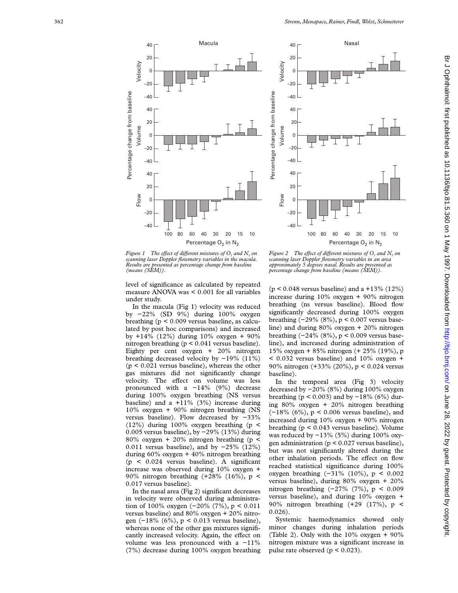

*Figure 1* The effect of different mixtures of  $O<sub>2</sub>$  and  $N<sub>2</sub>$  on *scanning laser Doppler flowmetry variables in the macula. Results are presented as percentage change from baseline (means (SEM)).*

level of significance as calculated by repeated measure ANOVA was < 0.001 for all variables under study.

In the macula (Fig 1) velocity was reduced by −22% (SD 9%) during 100% oxygen breathing (p < 0.009 versus baseline, as calculated by post hoc comparisons) and increased by +14% (12%) during 10% oxygen + 90% nitrogen breathing (p < 0.041 versus baseline). Eighty per cent oxygen + 20% nitrogen breathing decreased velocity by −19% (11%)  $(p < 0.021$  versus baseline), whereas the other gas mixtures did not significantly change velocity. The effect on volume was less pronounced with a −14% (9%) decrease during 100% oxygen breathing (NS versus baseline) and a  $+11\%$  (3%) increase during 10% oxygen + 90% nitrogen breathing (NS versus baseline). Flow decreased by −33% (12%) during 100% oxygen breathing (p < 0.005 versus baseline), by −29% (13%) during 80% oxygen + 20% nitrogen breathing (p < 0.011 versus baseline), and by −25% (12%) during 60% oxygen + 40% nitrogen breathing (p < 0.024 versus baseline). A significant increase was observed during 10% oxygen + 90% nitrogen breathing (+28% (16%), p < 0.017 versus baseline).

In the nasal area (Fig 2) significant decreases in velocity were observed during administration of 100% oxygen (−20% (7%), p < 0.011 versus baseline) and 80% oxygen + 20% nitrogen (−18% (6%), p < 0.013 versus baseline), whereas none of the other gas mixtures significantly increased velocity. Again, the effect on volume was less pronounced with a −11% (7%) decrease during 100% oxygen breathing



*Figure 2* The effect of different mixtures of  $O_2$  and  $N_2$  on *scanning laser Doppler flowmetry variables in an area approximately 5 degrees nasal. Results are presented as percentage change from baseline (means (SEM)).*

(p < 0.048 versus baseline) and a +13% (12%) increase during 10% oxygen + 90% nitrogen breathing (ns versus baseline). Blood flow significantly decreased during 100% oxygen breathing (−29% (8%), p < 0.007 versus baseline) and during 80% oxygen + 20% nitrogen breathing (−24% (8%), p < 0.009 versus baseline), and increased during administration of 15% oxygen + 85% nitrogen (+ 25% (19%), p  $<$  0.032 versus baseline) and 10% oxygen + 90% nitrogen (+33% (20%), p < 0.024 versus baseline).

In the temporal area (Fig 3) velocity decreased by −20% (8%) during 100% oxygen breathing ( $p$  < 0.003) and by −18% (6%) during 80% oxygen + 20% nitrogen breathing (−18% (6%), p < 0.006 versus baseline), and increased during 10% oxygen + 90% nitrogen breathing (p < 0.043 versus baseline). Volume was reduced by −13% (5%) during 100% oxygen administration ( $p < 0.027$  versus baseline), but was not significantly altered during the other inhalation periods. The effect on flow reached statistical significance during 100% oxygen breathing (−31% (10%), p < 0.002 versus baseline), during 80% oxygen + 20% nitrogen breathing (−27% (7%), p < 0.009 versus baseline), and during 10% oxygen + 90% nitrogen breathing (+29 (17%), p < 0.026).

Systemic haemodynamics showed only minor changes during inhalation periods (Table 2). Only with the 10% oxygen + 90% nitrogen mixture was a significant increase in pulse rate observed (p < 0.023).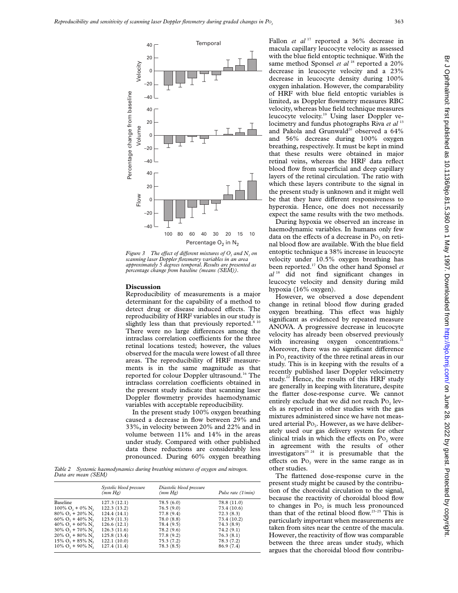

*Figure 3* The effect of different mixtures of O<sub>2</sub> and N<sub>2</sub> on *scanning laser Doppler flowmetry variables in an area approximately 5 degrees temporal. Results are presented as percentage change from baseline (means (SEM)).*

#### **Discussion**

Reproducibility of measurements is a major determinant for the capability of a method to detect drug or disease induced effects. The reproducibility of HRF variables in our study is slightly less than that previously reported.<sup>8 10</sup> There were no large differences among the intraclass correlation coefficients for the three retinal locations tested; however, the values observed for the macula were lowest of all three areas. The reproducibility of HRF measurements is in the same magnitude as that reported for colour Doppler ultrasound.<sup>16</sup> The intraclass correlation coefficients obtained in the present study indicate that scanning laser Doppler flowmetry provides haemodynamic variables with acceptable reproducibility.

In the present study 100% oxygen breathing caused a decrease in flow between 29% and 33%, in velocity between 20% and 22% and in volume between 11% and 14% in the areas under study. Compared with other published data these reductions are considerably less pronounced. During 60% oxygen breathing

*Table 2 Systemic haemodynamics during breathing mixtures of oxygen and nitrogen. Data are mean (SEM)*

|                                               | Systolic blood pressure<br>(mm Hg) | Diastolic blood pressure<br>(mm Hg) | Pulse rate (1/min) |
|-----------------------------------------------|------------------------------------|-------------------------------------|--------------------|
| Baseline                                      | 127.3(12.1)                        | 78.5(6.0)                           | 78.8 (11.0)        |
| $100\% \text{ O}_2 + 0\% \text{ N}_2$         | 122.3(13.2)                        | 76.5(9.0)                           | 73.4 (10.6)        |
| $80\% \text{ O}$ , + 20% N,                   | 124.4(14.1)                        | 77.8 (9.4)                          | 72.3(8.3)          |
| $60\%$ O <sub>2</sub> + 40\% N <sub>2</sub>   | 123.9(11.3)                        | 78.0(8.8)                           | 73.4 (10.2)        |
| $40\%$ O <sub>2</sub> + 60\% N <sub>2</sub>   | 126.6(12.1)                        | 78.4 (9.5)                          | 74.3 (8.9)         |
| $30\%$ O <sub>2</sub> + $70\%$ N <sub>2</sub> | 126.3(11.6)                        | 78.2 (9.6)                          | 74.2(9.1)          |
| $20\%$ O <sub>2</sub> + $80\%$ N <sub>2</sub> | 125.8(13.4)                        | 77.8 (9.2)                          | 76.3(8.1)          |
| $15\%$ O <sub>2</sub> + 85\% N <sub>2</sub>   | 122.1(10.0)                        | 75.3(7.2)                           | 78.3(7.2)          |
| $10\% \text{ O}_2 + 90\% \text{ N}_2$         | 127.4 (11.4)                       | 78.3(8.5)                           | 86.9 (7.4)         |

Fallon et al<sup>17</sup> reported a 36% decrease in macula capillary leucocyte velocity as assessed with the blue field entoptic technique. With the same method Sponsel et al<sup>18</sup> reported a 20% decrease in leucocyte velocity and a 23% decrease in leucocyte density during 100% oxygen inhalation. However, the comparability of HRF with blue field entoptic variables is limited, as Doppler flowmetry measures RBC velocity, whereas blue field technique measures leucocyte velocity.19 Using laser Doppler velocimetry and fundus photographs Riva *et al* <sup>13</sup> and Pakola and Grunwald<sup>20</sup> observed a 64% and 56% decrease during 100% oxygen breathing, respectively. It must be kept in mind that these results were obtained in major retinal veins, whereas the HRF data reflect blood flow from superficial and deep capillary layers of the retinal circulation. The ratio with which these layers contribute to the signal in the present study is unknown and it might well be that they have different responsiveness to hyperoxia. Hence, one does not necessarily expect the same results with the two methods.

During hypoxia we observed an increase in haemodynamic variables. In humans only few data on the effects of a decrease in Po<sub>2</sub> on retinal blood flow are available. With the blue field entoptic technique a 38% increase in leucocyte velocity under 10.5% oxygen breathing has been reported.17 On the other hand Sponsel *et al* <sup>18</sup> did not find significant changes in leucocyte velocity and density during mild hypoxia (16% oxygen).

However, we observed a dose dependent change in retinal blood flow during graded oxygen breathing. This effect was highly significant as evidenced by repeated measure ANOVA. A progressive decrease in leucocyte velocity has already been observed previously with increasing oxygen concentrations.<sup>21</sup> Moreover, there was no significant difference in Po<sub>2</sub> reactivity of the three retinal areas in our study. This is in keeping with the results of a recently published laser Doppler velocimetry study.<sup>22</sup> Hence, the results of this HRF study are generally in keeping with literature, despite the flatter dose-response curve. We cannot entirely exclude that we did not reach Po<sub>2</sub> levels as reported in other studies with the gas mixtures administered since we have not measured arterial Po<sub>2</sub>. However, as we have deliberately used our gas delivery system for other clinical trials in which the effects on Po<sub>2</sub> were in agreement with the results of other investigators<sup>23</sup> <sup>24</sup> it is presumable that the effects on  $Po_2$  were in the same range as in other studies.

The flattened dose-response curve in the present study might be caused by the contribution of the choroidal circulation to the signal, because the reactivity of choroidal blood flow to changes in  $Po_2$  is much less pronounced than that of the retinal blood flow.23–25 This is particularly important when measurements are taken from sites near the centre of the macula. However, the reactivity of flow was comparable between the three areas under study, which argues that the choroidal blood flow contribu-